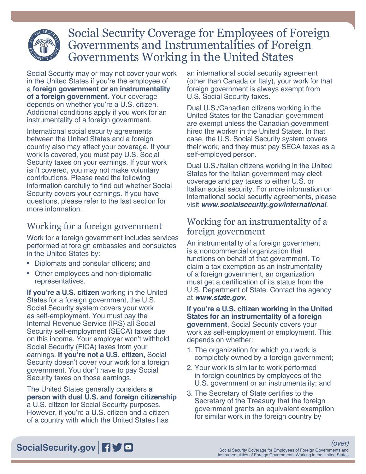

# Social Security Coverage for Employees of Foreign Governments and Instrumentalities of Foreign Governments Working in the United States

Social Security may or may not cover your work in the United States if you're the employee of a **foreign government or an instrumentality of a foreign government.** Your coverage depends on whether you're a U.S. citizen. Additional conditions apply if you work for an instrumentality of a foreign government.

International social security agreements between the United States and a foreign country also may affect your coverage. If your work is covered, you must pay U.S. Social Security taxes on your earnings. If your work isn't covered, you may not make voluntary contributions. Please read the following information carefully to find out whether Social Security covers your earnings. If you have questions, please refer to the last section for more information.

## Working for a foreign government

Work for a foreign government includes services performed at foreign embassies and consulates in the United States by:

- Diplomats and consular officers; and
- Other employees and non-diplomatic representatives.

**If you're a U.S. citizen** working in the United States for a foreign government, the U.S. Social Security system covers your work as self-employment. You must pay the [Internal Revenue Service](http://www.irs.gov) (IRS) all Social Security self-employment (SECA) taxes due on this income. Your employer won't withhold Social Security (FICA) taxes from your earnings. **If you're not a U.S. citizen,** Social Security doesn't cover your work for a foreign government. You don't have to pay Social Security taxes on those earnings.

The United States generally considers **a person with dual U.S. and foreign citizenship** a U.S. citizen for Social Security purposes. However, if you're a U.S. citizen and a citizen of a country with which the United States has

an international social security agreement (other than Canada or Italy), your work for that foreign government is always exempt from U.S. Social Security taxes.

Dual U.S./Canadian citizens working in the United States for the Canadian government are exempt unless the Canadian government hired the worker in the United States. In that case, the U.S. Social Security system covers their work, and they must pay SECA taxes as a self-employed person.

Dual U.S./Italian citizens working in the United States for the Italian government may elect coverage and pay taxes to either U.S. or Italian social security. For more information on international social security agreements, please visit *[www.socialsecurity.gov/international](http://www.socialsecurity.gov/international)*.

### Working for an instrumentality of a foreign government

An instrumentality of a foreign government is a noncommercial organization that functions on behalf of that government. To claim a tax exemption as an instrumentality of a foreign government, an organization must get a certification of its status from the U.S. Department of State. Contact the agency at *[www.state.gov](http://www.state.gov)*.

**If you're a U.S. citizen working in the United States for an instrumentality of a foreign government**, Social Security covers your work as self-employment or employment. This depends on whether:

- 1. The organization for which you work is completely owned by a foreign government;
- 2. Your work is similar to work performed in foreign countries by employees of the U.S. government or an instrumentality; and
- 3. The Secretary of State certifies to the Secretary of the Treasury that the foreign government grants an equivalent exemption for similar work in the foreign country by

## [SocialSecurity.gov](http://www.socialsecurity.gov) **190**